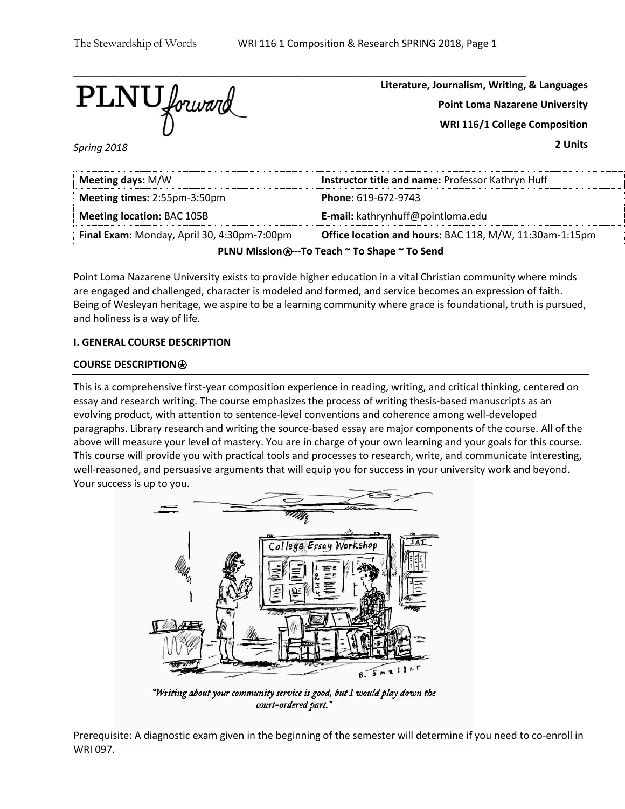$\overline{\text{PLNU}}$  forward

**Literature, Journalism, Writing, & Languages Point Loma Nazarene University WRI 116/1 College Composition**

*Spring 2018*

**2 Units**

| Meeting days: M/W                                                                                      | Instructor title and name: Professor Kathryn Huff |  |  |  |
|--------------------------------------------------------------------------------------------------------|---------------------------------------------------|--|--|--|
| <b>Meeting times: 2:55pm-3:50pm</b>                                                                    | <b>Phone: 619-672-9743</b>                        |  |  |  |
| <b>Meeting location: BAC 105B</b>                                                                      | E-mail: kathrynhuff@pointloma.edu                 |  |  |  |
| Office location and hours: BAC 118, M/W, 11:30am-1:15pm<br>Final Exam: Monday, April 30, 4:30pm-7:00pm |                                                   |  |  |  |
| PLNU Mission <b>⊕</b> --To Teach ~ To Shape ~ To Send                                                  |                                                   |  |  |  |

Point Loma Nazarene University exists to provide higher education in a vital Christian community where minds are engaged and challenged, character is modeled and formed, and service becomes an expression of faith. Being of Wesleyan heritage, we aspire to be a learning community where grace is foundational, truth is pursued, and holiness is a way of life.

# **I. GENERAL COURSE DESCRIPTION**

## **COURSE DESCRIPTION**⍟

This is a comprehensive first-year composition experience in reading, writing, and critical thinking, centered on essay and research writing. The course emphasizes the process of writing thesis-based manuscripts as an evolving product, with attention to sentence-level conventions and coherence among well-developed paragraphs. Library research and writing the source-based essay are major components of the course. All of the above will measure your level of mastery. You are in charge of your own learning and your goals for this course. This course will provide you with practical tools and processes to research, write, and communicate interesting, well-reasoned, and persuasive arguments that will equip you for success in your university work and beyond. Your success is up to you.



"Writing about your community service is good, but I would play down the court-ordered part."

Prerequisite: A diagnostic exam given in the beginning of the semester will determine if you need to co-enroll in WRI 097.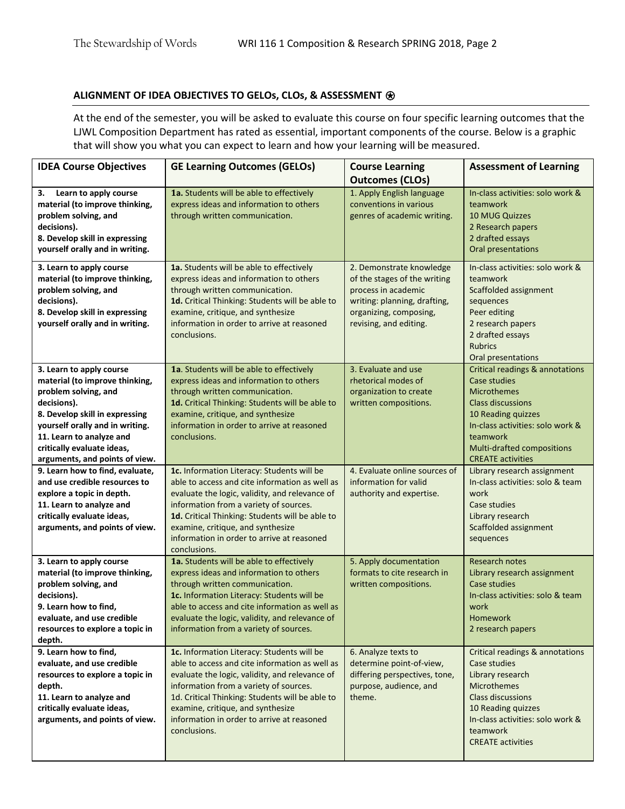# **ALIGNMENT OF IDEA OBJECTIVES TO GELOs, CLOs, & ASSESSMENT** ⍟

At the end of the semester, you will be asked to evaluate this course on four specific learning outcomes that the LJWL Composition Department has rated as essential, important components of the course. Below is a graphic that will show you what you can expect to learn and how your learning will be measured.

| <b>IDEA Course Objectives</b>                                                                                                                                                                                                                                      | <b>GE Learning Outcomes (GELOs)</b>                                                                                                                                                                                                                                                                                                            | <b>Course Learning</b><br><b>Outcomes (CLOs)</b>                                                                                                                    | <b>Assessment of Learning</b>                                                                                                                                                                                                                |
|--------------------------------------------------------------------------------------------------------------------------------------------------------------------------------------------------------------------------------------------------------------------|------------------------------------------------------------------------------------------------------------------------------------------------------------------------------------------------------------------------------------------------------------------------------------------------------------------------------------------------|---------------------------------------------------------------------------------------------------------------------------------------------------------------------|----------------------------------------------------------------------------------------------------------------------------------------------------------------------------------------------------------------------------------------------|
| Learn to apply course<br>з.<br>material (to improve thinking,<br>problem solving, and<br>decisions).<br>8. Develop skill in expressing<br>yourself orally and in writing.                                                                                          | 1a. Students will be able to effectively<br>express ideas and information to others<br>through written communication.                                                                                                                                                                                                                          | 1. Apply English language<br>conventions in various<br>genres of academic writing.                                                                                  | In-class activities: solo work &<br>teamwork<br><b>10 MUG Quizzes</b><br>2 Research papers<br>2 drafted essays<br>Oral presentations                                                                                                         |
| 3. Learn to apply course<br>material (to improve thinking,<br>problem solving, and<br>decisions).<br>8. Develop skill in expressing<br>yourself orally and in writing.                                                                                             | 1a. Students will be able to effectively<br>express ideas and information to others<br>through written communication.<br>1d. Critical Thinking: Students will be able to<br>examine, critique, and synthesize<br>information in order to arrive at reasoned<br>conclusions.                                                                    | 2. Demonstrate knowledge<br>of the stages of the writing<br>process in academic<br>writing: planning, drafting,<br>organizing, composing,<br>revising, and editing. | In-class activities: solo work &<br>teamwork<br>Scaffolded assignment<br>sequences<br>Peer editing<br>2 research papers<br>2 drafted essays<br><b>Rubrics</b><br>Oral presentations                                                          |
| 3. Learn to apply course<br>material (to improve thinking,<br>problem solving, and<br>decisions).<br>8. Develop skill in expressing<br>yourself orally and in writing.<br>11. Learn to analyze and<br>critically evaluate ideas,<br>arguments, and points of view. | 1a. Students will be able to effectively<br>express ideas and information to others<br>through written communication.<br>1d. Critical Thinking: Students will be able to<br>examine, critique, and synthesize<br>information in order to arrive at reasoned<br>conclusions.                                                                    | 3. Evaluate and use<br>rhetorical modes of<br>organization to create<br>written compositions.                                                                       | <b>Critical readings &amp; annotations</b><br>Case studies<br><b>Microthemes</b><br><b>Class discussions</b><br>10 Reading quizzes<br>In-class activities: solo work &<br>teamwork<br>Multi-drafted compositions<br><b>CREATE activities</b> |
| 9. Learn how to find, evaluate,<br>and use credible resources to<br>explore a topic in depth.<br>11. Learn to analyze and<br>critically evaluate ideas,<br>arguments, and points of view.                                                                          | 1c. Information Literacy: Students will be<br>able to access and cite information as well as<br>evaluate the logic, validity, and relevance of<br>information from a variety of sources.<br>1d. Critical Thinking: Students will be able to<br>examine, critique, and synthesize<br>information in order to arrive at reasoned<br>conclusions. | 4. Evaluate online sources of<br>information for valid<br>authority and expertise.                                                                                  | Library research assignment<br>In-class activities: solo & team<br>work<br>Case studies<br>Library research<br>Scaffolded assignment<br>sequences                                                                                            |
| 3. Learn to apply course<br>material (to improve thinking,<br>problem solving, and<br>decisions).<br>9. Learn how to find,<br>evaluate, and use credible<br>resources to explore a topic in<br>depth.                                                              | 1a. Students will be able to effectively<br>express ideas and information to others<br>through written communication.<br>1c. Information Literacy: Students will be<br>able to access and cite information as well as<br>evaluate the logic, validity, and relevance of<br>information from a variety of sources.                              | 5. Apply documentation<br>formats to cite research in<br>written compositions.                                                                                      | Research notes<br>Library research assignment<br>Case studies<br>In-class activities: solo & team<br>work<br>Homework<br>2 research papers                                                                                                   |
| 9. Learn how to find,<br>evaluate, and use credible<br>resources to explore a topic in<br>depth.<br>11. Learn to analyze and<br>critically evaluate ideas,<br>arguments, and points of view.                                                                       | 1c. Information Literacy: Students will be<br>able to access and cite information as well as<br>evaluate the logic, validity, and relevance of<br>information from a variety of sources.<br>1d. Critical Thinking: Students will be able to<br>examine, critique, and synthesize<br>information in order to arrive at reasoned<br>conclusions. | 6. Analyze texts to<br>determine point-of-view,<br>differing perspectives, tone,<br>purpose, audience, and<br>theme.                                                | Critical readings & annotations<br>Case studies<br>Library research<br>Microthemes<br><b>Class discussions</b><br>10 Reading quizzes<br>In-class activities: solo work &<br>teamwork<br><b>CREATE activities</b>                             |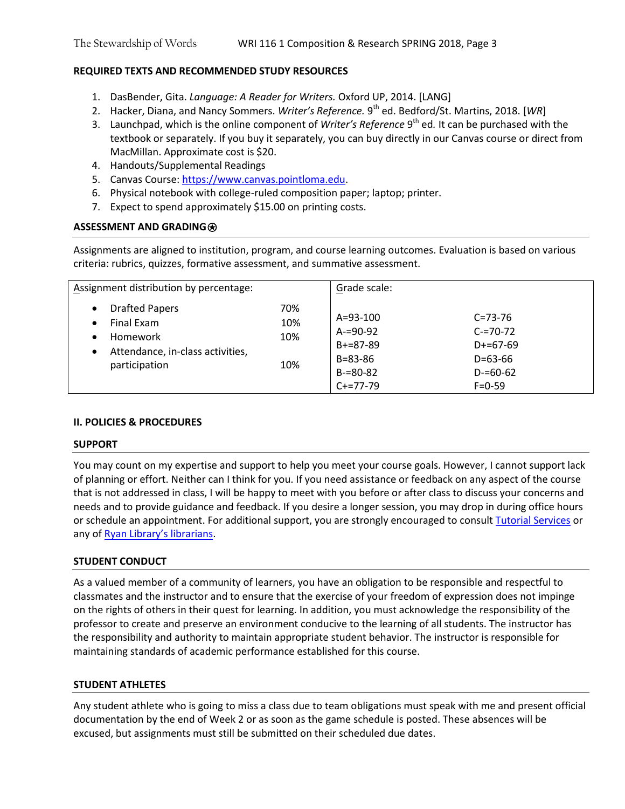# **REQUIRED TEXTS AND RECOMMENDED STUDY RESOURCES**

- 1. DasBender, Gita. *Language: A Reader for Writers.* Oxford UP, 2014. [LANG]
- 2. Hacker, Diana, and Nancy Sommers. *Writer's Reference.* 9 th ed. Bedford/St. Martins, 2018. [*WR*]
- 3. Launchpad, which is the online component of *Writer's Reference* 9<sup>th</sup> ed. It can be purchased with the textbook or separately. If you buy it separately, you can buy directly in our Canvas course or direct from MacMillan. Approximate cost is \$20.
- 4. Handouts/Supplemental Readings
- 5. Canvas Course[: https://www.canvas.pointloma.edu.](https://www.canvas.pointloma.edu/)
- 6. Physical notebook with college-ruled composition paper; laptop; printer.
- 7. Expect to spend approximately \$15.00 on printing costs.

# **ASSESSMENT AND GRADING**⍟

Assignments are aligned to institution, program, and course learning outcomes. Evaluation is based on various criteria: rubrics, quizzes, formative assessment, and summative assessment.

| Assignment distribution by percentage:                                                                                                      |                          | Grade scale:                                                                                  |                                                                                            |  |
|---------------------------------------------------------------------------------------------------------------------------------------------|--------------------------|-----------------------------------------------------------------------------------------------|--------------------------------------------------------------------------------------------|--|
| <b>Drafted Papers</b><br>$\bullet$<br>Final Exam<br>$\bullet$<br>Homework<br>Attendance, in-class activities,<br>$\bullet$<br>participation | 70%<br>10%<br>10%<br>10% | $A = 93 - 100$<br>$A = 90 - 92$<br>$B+=87-89$<br>$B = 83 - 86$<br>$B = 80 - 82$<br>$C+=77-79$ | $C = 73 - 76$<br>$C = 70 - 72$<br>$D+=67-69$<br>$D=63-66$<br>$D = 60 - 62$<br>$F = 0 - 59$ |  |

## **II. POLICIES & PROCEDURES**

## **SUPPORT**

You may count on my expertise and support to help you meet your course goals. However, I cannot support lack of planning or effort. Neither can I think for you. If you need assistance or feedback on any aspect of the course that is not addressed in class, I will be happy to meet with you before or after class to discuss your concerns and needs and to provide guidance and feedback. If you desire a longer session, you may drop in during office hours or schedule an appointment. For additional support, you are strongly encouraged to consul[t Tutorial Services](http://www.pointloma.edu/experience/offices/student-services/tutorial-services/services) or any of [Ryan Library's librarians](http://www.pointloma.edu/ryanlibrary).

## **STUDENT CONDUCT**

As a valued member of a community of learners, you have an obligation to be responsible and respectful to classmates and the instructor and to ensure that the exercise of your freedom of expression does not impinge on the rights of others in their quest for learning. In addition, you must acknowledge the responsibility of the professor to create and preserve an environment conducive to the learning of all students. The instructor has the responsibility and authority to maintain appropriate student behavior. The instructor is responsible for maintaining standards of academic performance established for this course.

## **STUDENT ATHLETES**

Any student athlete who is going to miss a class due to team obligations must speak with me and present official documentation by the end of Week 2 or as soon as the game schedule is posted. These absences will be excused, but assignments must still be submitted on their scheduled due dates.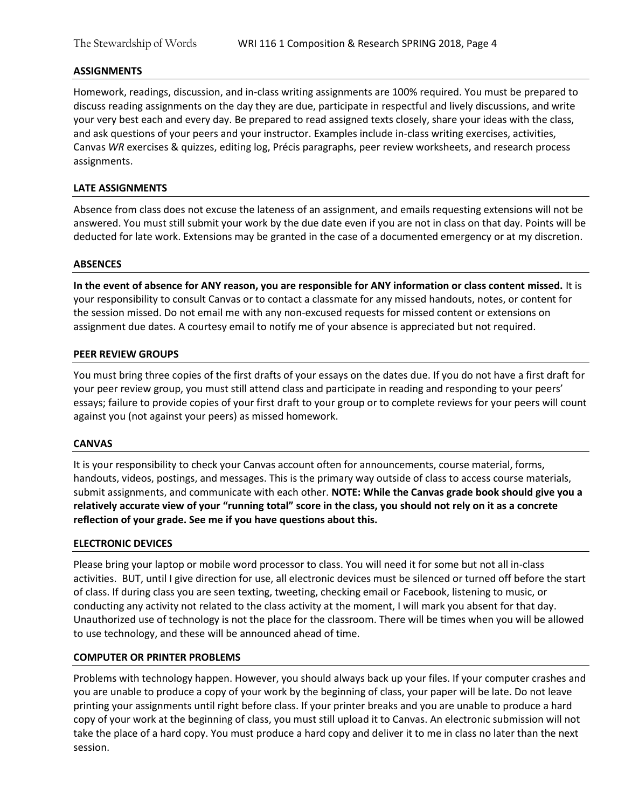#### **ASSIGNMENTS**

Homework, readings, discussion, and in-class writing assignments are 100% required. You must be prepared to discuss reading assignments on the day they are due, participate in respectful and lively discussions, and write your very best each and every day. Be prepared to read assigned texts closely, share your ideas with the class, and ask questions of your peers and your instructor. Examples include in-class writing exercises, activities, Canvas *WR* exercises & quizzes, editing log, Précis paragraphs, peer review worksheets, and research process assignments.

### **LATE ASSIGNMENTS**

Absence from class does not excuse the lateness of an assignment, and emails requesting extensions will not be answered. You must still submit your work by the due date even if you are not in class on that day. Points will be deducted for late work. Extensions may be granted in the case of a documented emergency or at my discretion.

#### **ABSENCES**

**In the event of absence for ANY reason, you are responsible for ANY information or class content missed.** It is your responsibility to consult Canvas or to contact a classmate for any missed handouts, notes, or content for the session missed. Do not email me with any non-excused requests for missed content or extensions on assignment due dates. A courtesy email to notify me of your absence is appreciated but not required.

#### **PEER REVIEW GROUPS**

You must bring three copies of the first drafts of your essays on the dates due. If you do not have a first draft for your peer review group, you must still attend class and participate in reading and responding to your peers' essays; failure to provide copies of your first draft to your group or to complete reviews for your peers will count against you (not against your peers) as missed homework.

#### **CANVAS**

It is your responsibility to check your Canvas account often for announcements, course material, forms, handouts, videos, postings, and messages. This is the primary way outside of class to access course materials, submit assignments, and communicate with each other. **NOTE: While the Canvas grade book should give you a relatively accurate view of your "running total" score in the class, you should not rely on it as a concrete reflection of your grade. See me if you have questions about this.** 

#### **ELECTRONIC DEVICES**

Please bring your laptop or mobile word processor to class. You will need it for some but not all in-class activities. BUT, until I give direction for use, all electronic devices must be silenced or turned off before the start of class. If during class you are seen texting, tweeting, checking email or Facebook, listening to music, or conducting any activity not related to the class activity at the moment, I will mark you absent for that day. Unauthorized use of technology is not the place for the classroom. There will be times when you will be allowed to use technology, and these will be announced ahead of time.

#### **COMPUTER OR PRINTER PROBLEMS**

Problems with technology happen. However, you should always back up your files. If your computer crashes and you are unable to produce a copy of your work by the beginning of class, your paper will be late. Do not leave printing your assignments until right before class. If your printer breaks and you are unable to produce a hard copy of your work at the beginning of class, you must still upload it to Canvas. An electronic submission will not take the place of a hard copy. You must produce a hard copy and deliver it to me in class no later than the next session.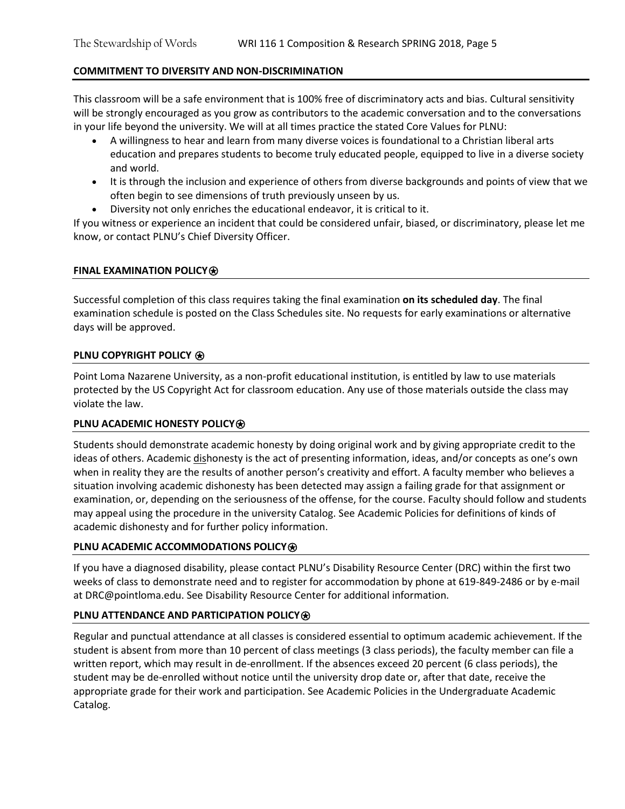# **COMMITMENT TO DIVERSITY AND NON-DISCRIMINATION**

This classroom will be a safe environment that is 100% free of discriminatory acts and bias. Cultural sensitivity will be strongly encouraged as you grow as contributors to the academic conversation and to the conversations in your life beyond the university. We will at all times practice the stated Core Values for PLNU:

- A willingness to hear and learn from many diverse voices is foundational to a Christian liberal arts education and prepares students to become truly educated people, equipped to live in a diverse society and world.
- It is through the inclusion and experience of others from diverse backgrounds and points of view that we often begin to see dimensions of truth previously unseen by us.
- Diversity not only enriches the educational endeavor, it is critical to it.

If you witness or experience an incident that could be considered unfair, biased, or discriminatory, please let me know, or contact PLNU's Chief Diversity Officer.

## **FINAL EXAMINATION POLICY**⍟

Successful completion of this class requires taking the final examination **on its scheduled day**. The final examination schedule is posted on the Class Schedules site. No requests for early examinations or alternative days will be approved.

## **PLNU COPYRIGHT POLICY**  $\bigcirc$

Point Loma Nazarene University, as a non-profit educational institution, is entitled by law to use materials protected by the US Copyright Act for classroom education. Any use of those materials outside the class may violate the law.

## **PLNU ACADEMIC HONESTY POLICY<sup>**</sup>

Students should demonstrate academic honesty by doing original work and by giving appropriate credit to the ideas of others. Academic dishonesty is the act of presenting information, ideas, and/or concepts as one's own when in reality they are the results of another person's creativity and effort. A faculty member who believes a situation involving academic dishonesty has been detected may assign a failing grade for that assignment or examination, or, depending on the seriousness of the offense, for the course. Faculty should follow and students may appeal using the procedure in the university Catalog. See Academic Policies for definitions of kinds of academic dishonesty and for further policy information.

## **PLNU ACADEMIC ACCOMMODATIONS POLICY<sup>**</sup>

If you have a diagnosed disability, please contact PLNU's Disability Resource Center (DRC) within the first two weeks of class to demonstrate need and to register for accommodation by phone at 619-849-2486 or by e-mail at DRC@pointloma.edu. See Disability Resource Center for additional information.

## **PLNU ATTENDANCE AND PARTICIPATION POLICY<sup>®</sup>**

Regular and punctual attendance at all classes is considered essential to optimum academic achievement. If the student is absent from more than 10 percent of class meetings (3 class periods), the faculty member can file a written report, which may result in de-enrollment. If the absences exceed 20 percent (6 class periods), the student may be de-enrolled without notice until the university drop date or, after that date, receive the appropriate grade for their work and participation. See Academic Policies in the Undergraduate Academic Catalog.